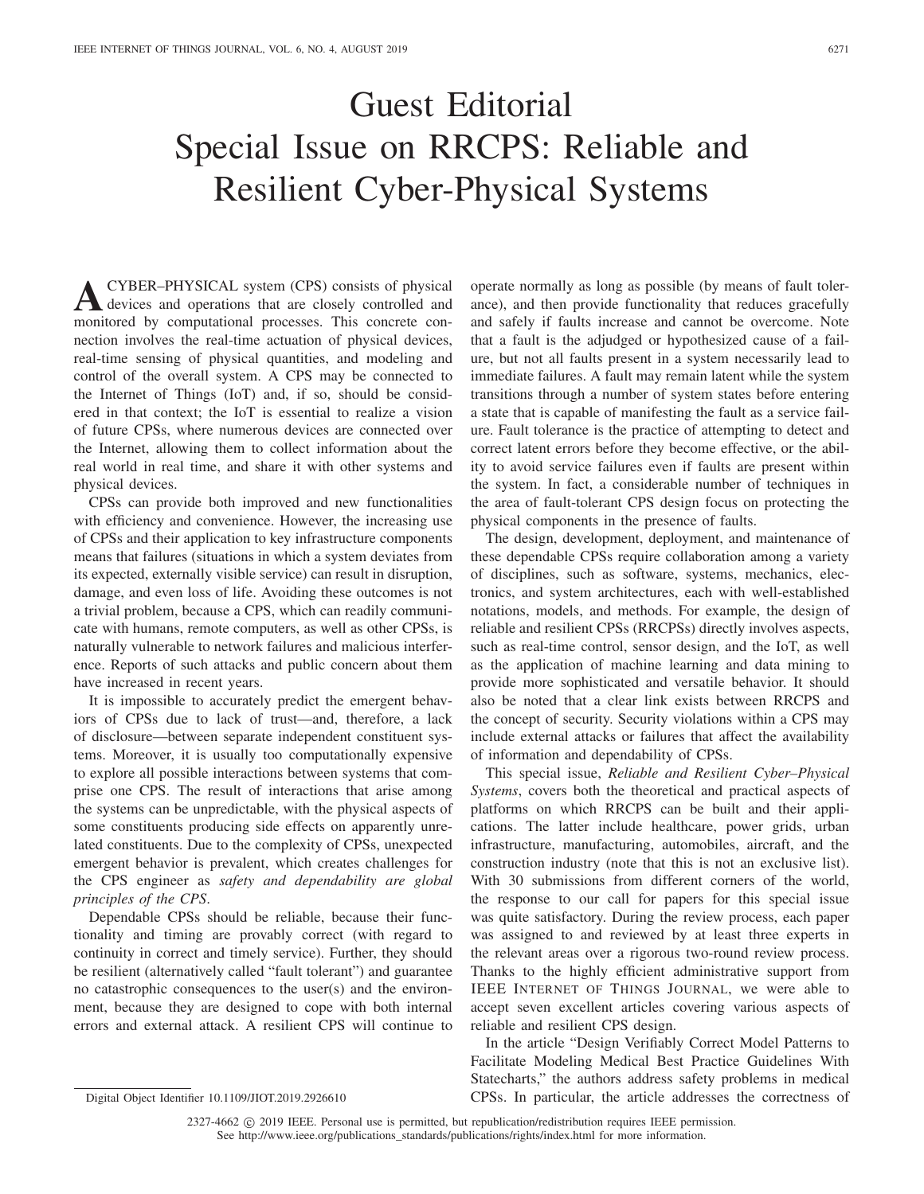## Guest Editorial Special Issue on RRCPS: Reliable and Resilient Cyber-Physical Systems

**A**CYBER–PHYSICAL system (CPS) consists of physical devices and operations that are closely controlled and monitored by computational processes. This concrete connection involves the real-time actuation of physical devices, real-time sensing of physical quantities, and modeling and control of the overall system. A CPS may be connected to the Internet of Things (IoT) and, if so, should be considered in that context; the IoT is essential to realize a vision of future CPSs, where numerous devices are connected over the Internet, allowing them to collect information about the real world in real time, and share it with other systems and physical devices.

CPSs can provide both improved and new functionalities with efficiency and convenience. However, the increasing use of CPSs and their application to key infrastructure components means that failures (situations in which a system deviates from its expected, externally visible service) can result in disruption, damage, and even loss of life. Avoiding these outcomes is not a trivial problem, because a CPS, which can readily communicate with humans, remote computers, as well as other CPSs, is naturally vulnerable to network failures and malicious interference. Reports of such attacks and public concern about them have increased in recent years.

It is impossible to accurately predict the emergent behaviors of CPSs due to lack of trust—and, therefore, a lack of disclosure—between separate independent constituent systems. Moreover, it is usually too computationally expensive to explore all possible interactions between systems that comprise one CPS. The result of interactions that arise among the systems can be unpredictable, with the physical aspects of some constituents producing side effects on apparently unrelated constituents. Due to the complexity of CPSs, unexpected emergent behavior is prevalent, which creates challenges for the CPS engineer as *safety and dependability are global principles of the CPS*.

Dependable CPSs should be reliable, because their functionality and timing are provably correct (with regard to continuity in correct and timely service). Further, they should be resilient (alternatively called "fault tolerant") and guarantee no catastrophic consequences to the user(s) and the environment, because they are designed to cope with both internal errors and external attack. A resilient CPS will continue to

operate normally as long as possible (by means of fault tolerance), and then provide functionality that reduces gracefully and safely if faults increase and cannot be overcome. Note that a fault is the adjudged or hypothesized cause of a failure, but not all faults present in a system necessarily lead to immediate failures. A fault may remain latent while the system transitions through a number of system states before entering a state that is capable of manifesting the fault as a service failure. Fault tolerance is the practice of attempting to detect and correct latent errors before they become effective, or the ability to avoid service failures even if faults are present within the system. In fact, a considerable number of techniques in the area of fault-tolerant CPS design focus on protecting the physical components in the presence of faults.

The design, development, deployment, and maintenance of these dependable CPSs require collaboration among a variety of disciplines, such as software, systems, mechanics, electronics, and system architectures, each with well-established notations, models, and methods. For example, the design of reliable and resilient CPSs (RRCPSs) directly involves aspects, such as real-time control, sensor design, and the IoT, as well as the application of machine learning and data mining to provide more sophisticated and versatile behavior. It should also be noted that a clear link exists between RRCPS and the concept of security. Security violations within a CPS may include external attacks or failures that affect the availability of information and dependability of CPSs.

This special issue, *Reliable and Resilient Cyber–Physical Systems*, covers both the theoretical and practical aspects of platforms on which RRCPS can be built and their applications. The latter include healthcare, power grids, urban infrastructure, manufacturing, automobiles, aircraft, and the construction industry (note that this is not an exclusive list). With 30 submissions from different corners of the world, the response to our call for papers for this special issue was quite satisfactory. During the review process, each paper was assigned to and reviewed by at least three experts in the relevant areas over a rigorous two-round review process. Thanks to the highly efficient administrative support from IEEE INTERNET OF THINGS JOURNAL, we were able to accept seven excellent articles covering various aspects of reliable and resilient CPS design.

In the article "Design Verifiably Correct Model Patterns to Facilitate Modeling Medical Best Practice Guidelines With Statecharts," the authors address safety problems in medical CPSs. In particular, the article addresses the correctness of

2327-4662  $\odot$  2019 IEEE. Personal use is permitted, but republication/redistribution requires IEEE permission.

See http://www.ieee.org/publications\_standards/publications/rights/index.html for more information.

Digital Object Identifier 10.1109/JIOT.2019.2926610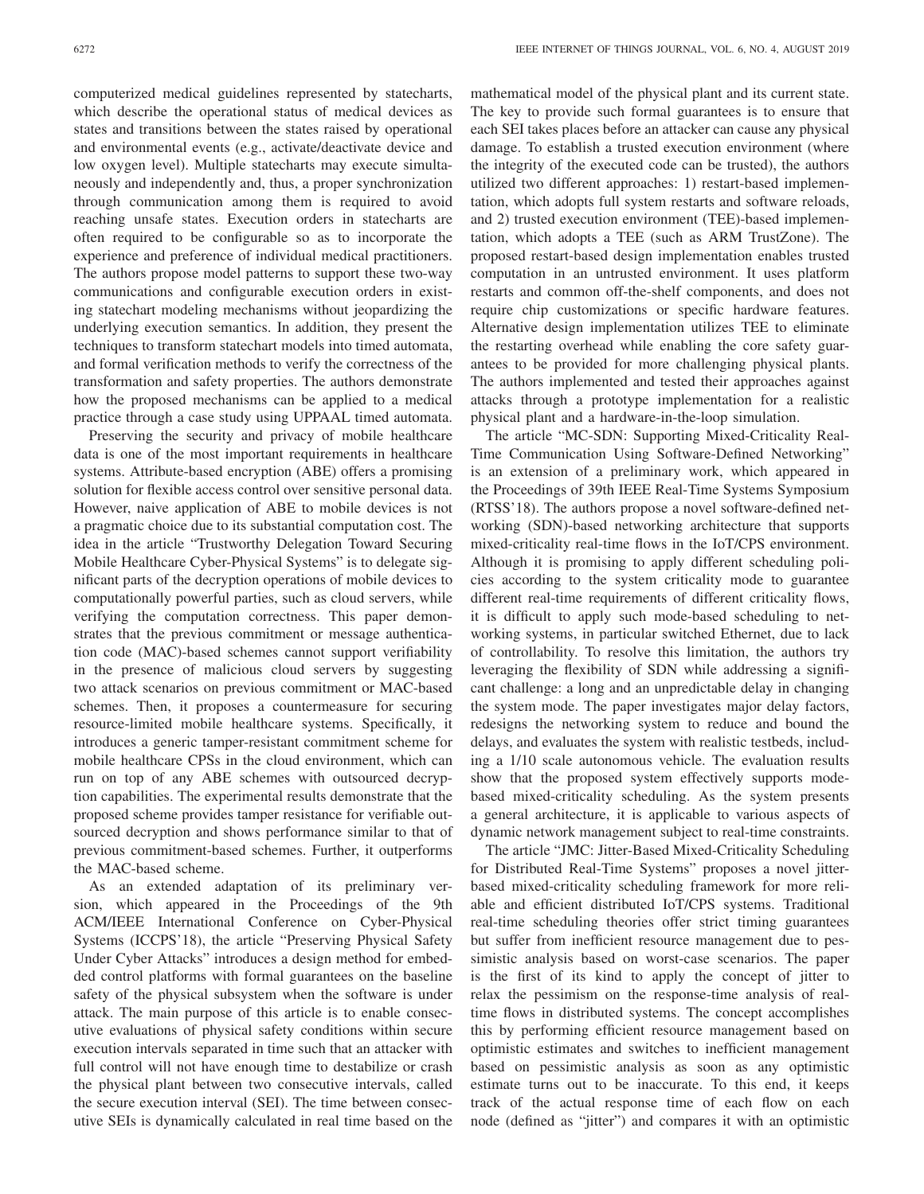computerized medical guidelines represented by statecharts, which describe the operational status of medical devices as states and transitions between the states raised by operational and environmental events (e.g., activate/deactivate device and low oxygen level). Multiple statecharts may execute simultaneously and independently and, thus, a proper synchronization through communication among them is required to avoid reaching unsafe states. Execution orders in statecharts are often required to be configurable so as to incorporate the experience and preference of individual medical practitioners. The authors propose model patterns to support these two-way communications and configurable execution orders in existing statechart modeling mechanisms without jeopardizing the underlying execution semantics. In addition, they present the techniques to transform statechart models into timed automata, and formal verification methods to verify the correctness of the transformation and safety properties. The authors demonstrate how the proposed mechanisms can be applied to a medical practice through a case study using UPPAAL timed automata.

Preserving the security and privacy of mobile healthcare data is one of the most important requirements in healthcare systems. Attribute-based encryption (ABE) offers a promising solution for flexible access control over sensitive personal data. However, naive application of ABE to mobile devices is not a pragmatic choice due to its substantial computation cost. The idea in the article "Trustworthy Delegation Toward Securing Mobile Healthcare Cyber-Physical Systems" is to delegate significant parts of the decryption operations of mobile devices to computationally powerful parties, such as cloud servers, while verifying the computation correctness. This paper demonstrates that the previous commitment or message authentication code (MAC)-based schemes cannot support verifiability in the presence of malicious cloud servers by suggesting two attack scenarios on previous commitment or MAC-based schemes. Then, it proposes a countermeasure for securing resource-limited mobile healthcare systems. Specifically, it introduces a generic tamper-resistant commitment scheme for mobile healthcare CPSs in the cloud environment, which can run on top of any ABE schemes with outsourced decryption capabilities. The experimental results demonstrate that the proposed scheme provides tamper resistance for verifiable outsourced decryption and shows performance similar to that of previous commitment-based schemes. Further, it outperforms the MAC-based scheme.

As an extended adaptation of its preliminary version, which appeared in the Proceedings of the 9th ACM/IEEE International Conference on Cyber-Physical Systems (ICCPS'18), the article "Preserving Physical Safety Under Cyber Attacks" introduces a design method for embedded control platforms with formal guarantees on the baseline safety of the physical subsystem when the software is under attack. The main purpose of this article is to enable consecutive evaluations of physical safety conditions within secure execution intervals separated in time such that an attacker with full control will not have enough time to destabilize or crash the physical plant between two consecutive intervals, called the secure execution interval (SEI). The time between consecutive SEIs is dynamically calculated in real time based on the

mathematical model of the physical plant and its current state. The key to provide such formal guarantees is to ensure that each SEI takes places before an attacker can cause any physical damage. To establish a trusted execution environment (where the integrity of the executed code can be trusted), the authors utilized two different approaches: 1) restart-based implementation, which adopts full system restarts and software reloads, and 2) trusted execution environment (TEE)-based implementation, which adopts a TEE (such as ARM TrustZone). The proposed restart-based design implementation enables trusted computation in an untrusted environment. It uses platform restarts and common off-the-shelf components, and does not require chip customizations or specific hardware features. Alternative design implementation utilizes TEE to eliminate the restarting overhead while enabling the core safety guarantees to be provided for more challenging physical plants. The authors implemented and tested their approaches against attacks through a prototype implementation for a realistic physical plant and a hardware-in-the-loop simulation.

The article "MC-SDN: Supporting Mixed-Criticality Real-Time Communication Using Software-Defined Networking" is an extension of a preliminary work, which appeared in the Proceedings of 39th IEEE Real-Time Systems Symposium (RTSS'18). The authors propose a novel software-defined networking (SDN)-based networking architecture that supports mixed-criticality real-time flows in the IoT/CPS environment. Although it is promising to apply different scheduling policies according to the system criticality mode to guarantee different real-time requirements of different criticality flows, it is difficult to apply such mode-based scheduling to networking systems, in particular switched Ethernet, due to lack of controllability. To resolve this limitation, the authors try leveraging the flexibility of SDN while addressing a significant challenge: a long and an unpredictable delay in changing the system mode. The paper investigates major delay factors, redesigns the networking system to reduce and bound the delays, and evaluates the system with realistic testbeds, including a 1/10 scale autonomous vehicle. The evaluation results show that the proposed system effectively supports modebased mixed-criticality scheduling. As the system presents a general architecture, it is applicable to various aspects of dynamic network management subject to real-time constraints.

The article "JMC: Jitter-Based Mixed-Criticality Scheduling for Distributed Real-Time Systems" proposes a novel jitterbased mixed-criticality scheduling framework for more reliable and efficient distributed IoT/CPS systems. Traditional real-time scheduling theories offer strict timing guarantees but suffer from inefficient resource management due to pessimistic analysis based on worst-case scenarios. The paper is the first of its kind to apply the concept of jitter to relax the pessimism on the response-time analysis of realtime flows in distributed systems. The concept accomplishes this by performing efficient resource management based on optimistic estimates and switches to inefficient management based on pessimistic analysis as soon as any optimistic estimate turns out to be inaccurate. To this end, it keeps track of the actual response time of each flow on each node (defined as "jitter") and compares it with an optimistic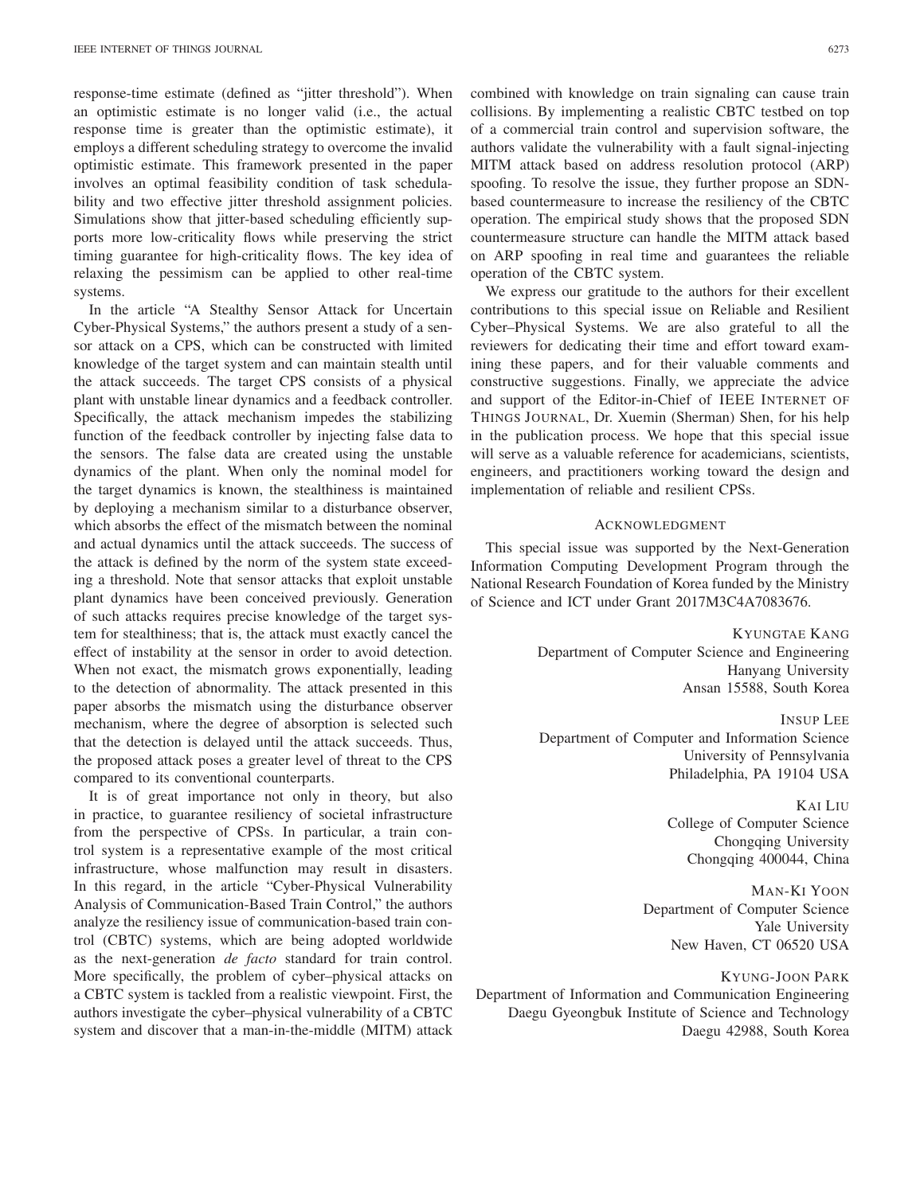response-time estimate (defined as "jitter threshold"). When an optimistic estimate is no longer valid (i.e., the actual response time is greater than the optimistic estimate), it employs a different scheduling strategy to overcome the invalid optimistic estimate. This framework presented in the paper involves an optimal feasibility condition of task schedulability and two effective jitter threshold assignment policies. Simulations show that jitter-based scheduling efficiently supports more low-criticality flows while preserving the strict timing guarantee for high-criticality flows. The key idea of relaxing the pessimism can be applied to other real-time systems.

In the article "A Stealthy Sensor Attack for Uncertain Cyber-Physical Systems," the authors present a study of a sensor attack on a CPS, which can be constructed with limited knowledge of the target system and can maintain stealth until the attack succeeds. The target CPS consists of a physical plant with unstable linear dynamics and a feedback controller. Specifically, the attack mechanism impedes the stabilizing function of the feedback controller by injecting false data to the sensors. The false data are created using the unstable dynamics of the plant. When only the nominal model for the target dynamics is known, the stealthiness is maintained by deploying a mechanism similar to a disturbance observer, which absorbs the effect of the mismatch between the nominal and actual dynamics until the attack succeeds. The success of the attack is defined by the norm of the system state exceeding a threshold. Note that sensor attacks that exploit unstable plant dynamics have been conceived previously. Generation of such attacks requires precise knowledge of the target system for stealthiness; that is, the attack must exactly cancel the effect of instability at the sensor in order to avoid detection. When not exact, the mismatch grows exponentially, leading to the detection of abnormality. The attack presented in this paper absorbs the mismatch using the disturbance observer mechanism, where the degree of absorption is selected such that the detection is delayed until the attack succeeds. Thus, the proposed attack poses a greater level of threat to the CPS compared to its conventional counterparts.

It is of great importance not only in theory, but also in practice, to guarantee resiliency of societal infrastructure from the perspective of CPSs. In particular, a train control system is a representative example of the most critical infrastructure, whose malfunction may result in disasters. In this regard, in the article "Cyber-Physical Vulnerability Analysis of Communication-Based Train Control," the authors analyze the resiliency issue of communication-based train control (CBTC) systems, which are being adopted worldwide as the next-generation *de facto* standard for train control. More specifically, the problem of cyber–physical attacks on a CBTC system is tackled from a realistic viewpoint. First, the authors investigate the cyber–physical vulnerability of a CBTC system and discover that a man-in-the-middle (MITM) attack combined with knowledge on train signaling can cause train collisions. By implementing a realistic CBTC testbed on top of a commercial train control and supervision software, the authors validate the vulnerability with a fault signal-injecting MITM attack based on address resolution protocol (ARP) spoofing. To resolve the issue, they further propose an SDNbased countermeasure to increase the resiliency of the CBTC operation. The empirical study shows that the proposed SDN countermeasure structure can handle the MITM attack based on ARP spoofing in real time and guarantees the reliable operation of the CBTC system.

We express our gratitude to the authors for their excellent contributions to this special issue on Reliable and Resilient Cyber–Physical Systems. We are also grateful to all the reviewers for dedicating their time and effort toward examining these papers, and for their valuable comments and constructive suggestions. Finally, we appreciate the advice and support of the Editor-in-Chief of IEEE INTERNET OF THINGS JOURNAL, Dr. Xuemin (Sherman) Shen, for his help in the publication process. We hope that this special issue will serve as a valuable reference for academicians, scientists, engineers, and practitioners working toward the design and implementation of reliable and resilient CPSs.

## ACKNOWLEDGMENT

This special issue was supported by the Next-Generation Information Computing Development Program through the National Research Foundation of Korea funded by the Ministry of Science and ICT under Grant 2017M3C4A7083676.

> KYUNGTAE KANG Department of Computer Science and Engineering Hanyang University Ansan 15588, South Korea

INSUP LEE Department of Computer and Information Science University of Pennsylvania Philadelphia, PA 19104 USA

> KAI LIU College of Computer Science Chongqing University Chongqing 400044, China

MAN-KI YOON Department of Computer Science Yale University New Haven, CT 06520 USA

KYUNG-JOON PARK

Department of Information and Communication Engineering Daegu Gyeongbuk Institute of Science and Technology Daegu 42988, South Korea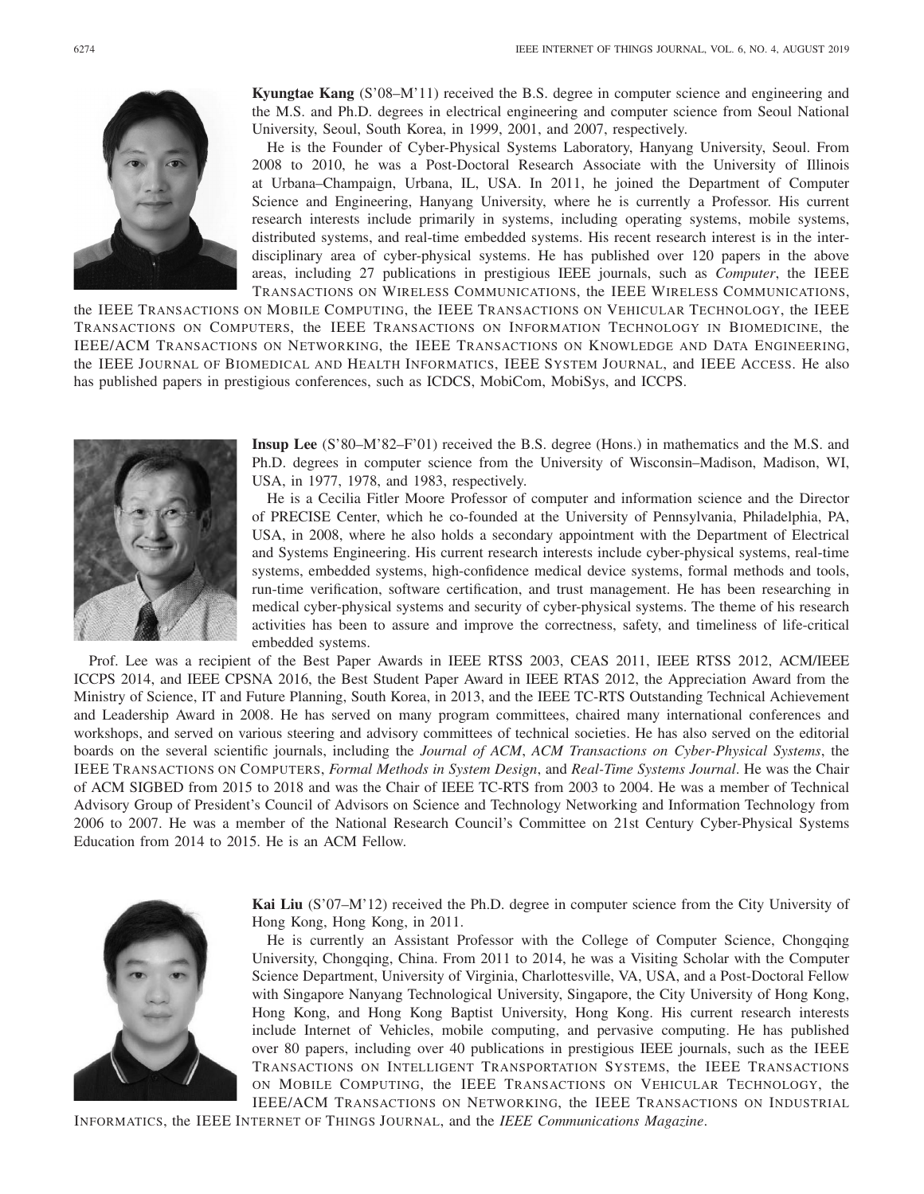

**Kyungtae Kang** (S'08–M'11) received the B.S. degree in computer science and engineering and the M.S. and Ph.D. degrees in electrical engineering and computer science from Seoul National University, Seoul, South Korea, in 1999, 2001, and 2007, respectively.

He is the Founder of Cyber-Physical Systems Laboratory, Hanyang University, Seoul. From 2008 to 2010, he was a Post-Doctoral Research Associate with the University of Illinois at Urbana–Champaign, Urbana, IL, USA. In 2011, he joined the Department of Computer Science and Engineering, Hanyang University, where he is currently a Professor. His current research interests include primarily in systems, including operating systems, mobile systems, distributed systems, and real-time embedded systems. His recent research interest is in the interdisciplinary area of cyber-physical systems. He has published over 120 papers in the above areas, including 27 publications in prestigious IEEE journals, such as *Computer*, the IEEE TRANSACTIONS ON WIRELESS COMMUNICATIONS, the IEEE WIRELESS COMMUNICATIONS,

the IEEE TRANSACTIONS ON MOBILE COMPUTING, the IEEE TRANSACTIONS ON VEHICULAR TECHNOLOGY, the IEEE TRANSACTIONS ON COMPUTERS, the IEEE TRANSACTIONS ON INFORMATION TECHNOLOGY IN BIOMEDICINE, the IEEE/ACM TRANSACTIONS ON NETWORKING, the IEEE TRANSACTIONS ON KNOWLEDGE AND DATA ENGINEERING, the IEEE JOURNAL OF BIOMEDICAL AND HEALTH INFORMATICS, IEEE SYSTEM JOURNAL, and IEEE ACCESS. He also has published papers in prestigious conferences, such as ICDCS, MobiCom, MobiSys, and ICCPS.



**Insup Lee** (S'80–M'82–F'01) received the B.S. degree (Hons.) in mathematics and the M.S. and Ph.D. degrees in computer science from the University of Wisconsin–Madison, Madison, WI, USA, in 1977, 1978, and 1983, respectively.

He is a Cecilia Fitler Moore Professor of computer and information science and the Director of PRECISE Center, which he co-founded at the University of Pennsylvania, Philadelphia, PA, USA, in 2008, where he also holds a secondary appointment with the Department of Electrical and Systems Engineering. His current research interests include cyber-physical systems, real-time systems, embedded systems, high-confidence medical device systems, formal methods and tools, run-time verification, software certification, and trust management. He has been researching in medical cyber-physical systems and security of cyber-physical systems. The theme of his research activities has been to assure and improve the correctness, safety, and timeliness of life-critical embedded systems.

Prof. Lee was a recipient of the Best Paper Awards in IEEE RTSS 2003, CEAS 2011, IEEE RTSS 2012, ACM/IEEE ICCPS 2014, and IEEE CPSNA 2016, the Best Student Paper Award in IEEE RTAS 2012, the Appreciation Award from the Ministry of Science, IT and Future Planning, South Korea, in 2013, and the IEEE TC-RTS Outstanding Technical Achievement and Leadership Award in 2008. He has served on many program committees, chaired many international conferences and workshops, and served on various steering and advisory committees of technical societies. He has also served on the editorial boards on the several scientific journals, including the *Journal of ACM*, *ACM Transactions on Cyber-Physical Systems*, the IEEE TRANSACTIONS ON COMPUTERS, *Formal Methods in System Design*, and *Real-Time Systems Journal*. He was the Chair of ACM SIGBED from 2015 to 2018 and was the Chair of IEEE TC-RTS from 2003 to 2004. He was a member of Technical Advisory Group of President's Council of Advisors on Science and Technology Networking and Information Technology from 2006 to 2007. He was a member of the National Research Council's Committee on 21st Century Cyber-Physical Systems Education from 2014 to 2015. He is an ACM Fellow.



**Kai Liu** (S'07–M'12) received the Ph.D. degree in computer science from the City University of Hong Kong, Hong Kong, in 2011.

He is currently an Assistant Professor with the College of Computer Science, Chongqing University, Chongqing, China. From 2011 to 2014, he was a Visiting Scholar with the Computer Science Department, University of Virginia, Charlottesville, VA, USA, and a Post-Doctoral Fellow with Singapore Nanyang Technological University, Singapore, the City University of Hong Kong, Hong Kong, and Hong Kong Baptist University, Hong Kong. His current research interests include Internet of Vehicles, mobile computing, and pervasive computing. He has published over 80 papers, including over 40 publications in prestigious IEEE journals, such as the IEEE TRANSACTIONS ON INTELLIGENT TRANSPORTATION SYSTEMS, the IEEE TRANSACTIONS ON MOBILE COMPUTING, the IEEE TRANSACTIONS ON VEHICULAR TECHNOLOGY, the IEEE/ACM TRANSACTIONS ON NETWORKING, the IEEE TRANSACTIONS ON INDUSTRIAL

INFORMATICS, the IEEE INTERNET OF THINGS JOURNAL, and the *IEEE Communications Magazine*.